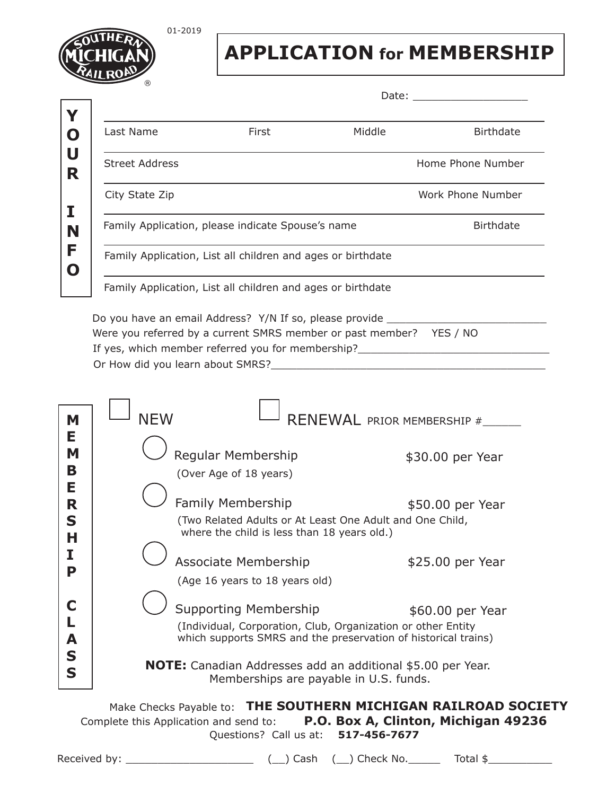

01-2019

**APPLICATION for MEMBERSHIP**

Date:

| Last Name                              | First                                                                                                        | Middle | <b>Birthdate</b>                    |
|----------------------------------------|--------------------------------------------------------------------------------------------------------------|--------|-------------------------------------|
| <b>Street Address</b>                  |                                                                                                              |        | Home Phone Number                   |
| City State Zip                         |                                                                                                              |        | Work Phone Number                   |
|                                        | Family Application, please indicate Spouse's name                                                            |        | <b>Birthdate</b>                    |
|                                        | Family Application, List all children and ages or birthdate                                                  |        |                                     |
|                                        | Family Application, List all children and ages or birthdate                                                  |        |                                     |
|                                        | Do you have an email Address? Y/N If so, please provide ________________________                             |        |                                     |
|                                        | Were you referred by a current SMRS member or past member? YES / NO                                          |        |                                     |
|                                        | If yes, which member referred you for membership?_______________________________                             |        |                                     |
|                                        |                                                                                                              |        |                                     |
|                                        |                                                                                                              |        |                                     |
|                                        |                                                                                                              |        |                                     |
| <b>NFW</b>                             |                                                                                                              |        | RENEWAL PRIOR MEMBERSHIP #          |
|                                        |                                                                                                              |        |                                     |
|                                        |                                                                                                              |        |                                     |
|                                        | Regular Membership                                                                                           |        |                                     |
|                                        | (Over Age of 18 years)                                                                                       |        | \$30.00 per Year                    |
|                                        |                                                                                                              |        |                                     |
|                                        | <b>Family Membership</b>                                                                                     |        | \$50.00 per Year                    |
|                                        | (Two Related Adults or At Least One Adult and One Child,                                                     |        |                                     |
|                                        | where the child is less than 18 years old.)                                                                  |        |                                     |
|                                        |                                                                                                              |        |                                     |
|                                        | <b>Associate Membership</b>                                                                                  |        | \$25.00 per Year                    |
|                                        | (Age 16 years to 18 years old)                                                                               |        |                                     |
|                                        | <b>Supporting Membership</b>                                                                                 |        | \$60.00 per Year                    |
|                                        | (Individual, Corporation, Club, Organization or other Entity                                                 |        |                                     |
|                                        | which supports SMRS and the preservation of historical trains)                                               |        |                                     |
|                                        |                                                                                                              |        |                                     |
|                                        | <b>NOTE:</b> Canadian Addresses add an additional \$5.00 per Year.<br>Memberships are payable in U.S. funds. |        |                                     |
|                                        |                                                                                                              |        |                                     |
| Complete this Application and send to: | Make Checks Payable to: THE SOUTHERN MICHIGAN RAILROAD SOCIETY                                               |        | P.O. Box A, Clinton, Michigan 49236 |